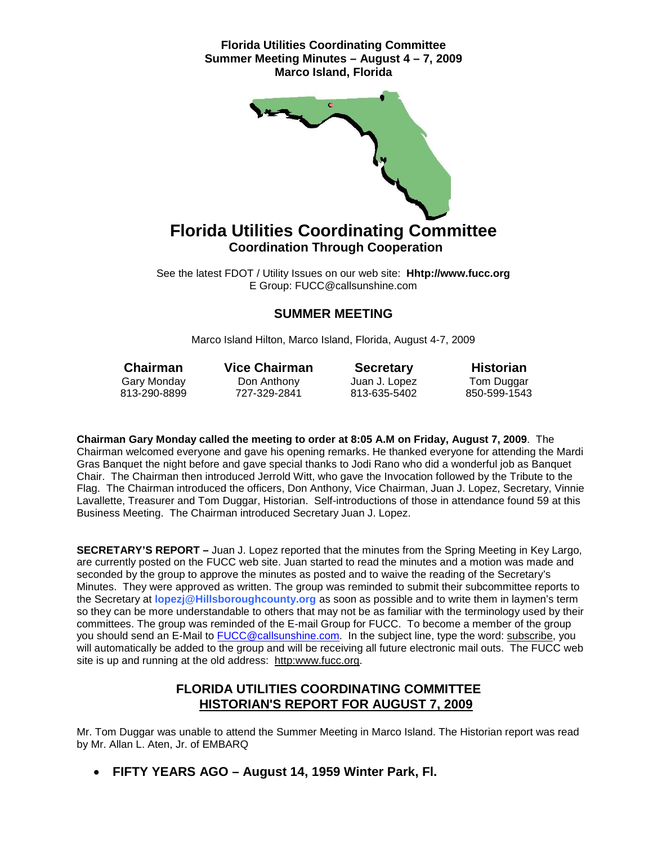

See the latest FDOT / Utility Issues on our web site: **Hhtp://www.fucc.org** E Group: FUCC@callsunshine.com

## **SUMMER MEETING**

Marco Island Hilton, Marco Island, Florida, August 4-7, 2009

**Chairman Vice Chairman Secretary Historian**<br>Gary Monday Don Anthony Juan J. Lopez Tom Duggar Gary Monday Don Anthony Juan J. Lopez Tom Duggar

813-635-5402

**Chairman Gary Monday called the meeting to order at 8:05 A.M on Friday, August 7, 2009**. The Chairman welcomed everyone and gave his opening remarks. He thanked everyone for attending the Mardi Gras Banquet the night before and gave special thanks to Jodi Rano who did a wonderful job as Banquet Chair. The Chairman then introduced Jerrold Witt, who gave the Invocation followed by the Tribute to the Flag. The Chairman introduced the officers, Don Anthony, Vice Chairman, Juan J. Lopez, Secretary, Vinnie Lavallette, Treasurer and Tom Duggar, Historian. Self-introductions of those in attendance found 59 at this Business Meeting. The Chairman introduced Secretary Juan J. Lopez.

**SECRETARY'S REPORT –** Juan J. Lopez reported that the minutes from the Spring Meeting in Key Largo, are currently posted on the FUCC web site. Juan started to read the minutes and a motion was made and seconded by the group to approve the minutes as posted and to waive the reading of the Secretary's Minutes. They were approved as written. The group was reminded to submit their subcommittee reports to the Secretary at **lopezj@Hillsboroughcounty.org** as soon as possible and to write them in laymen's term so they can be more understandable to others that may not be as familiar with the terminology used by their committees. The group was reminded of the E-mail Group for FUCC. To become a member of the group you should send an E-Mail to [FUCC@callsunshine.com.](mailto:FUCC@callsunshine.com) In the subject line, type the word: subscribe, you will automatically be added to the group and will be receiving all future electronic mail outs. The FUCC web site is up and running at the old address: http:www.fucc.org.

# **FLORIDA UTILITIES COORDINATING COMMITTEE HISTORIAN'S REPORT FOR AUGUST 7, 2009**

Mr. Tom Duggar was unable to attend the Summer Meeting in Marco Island. The Historian report was read by Mr. Allan L. Aten, Jr. of EMBARQ

• **FIFTY YEARS AGO – August 14, 1959 Winter Park, Fl.**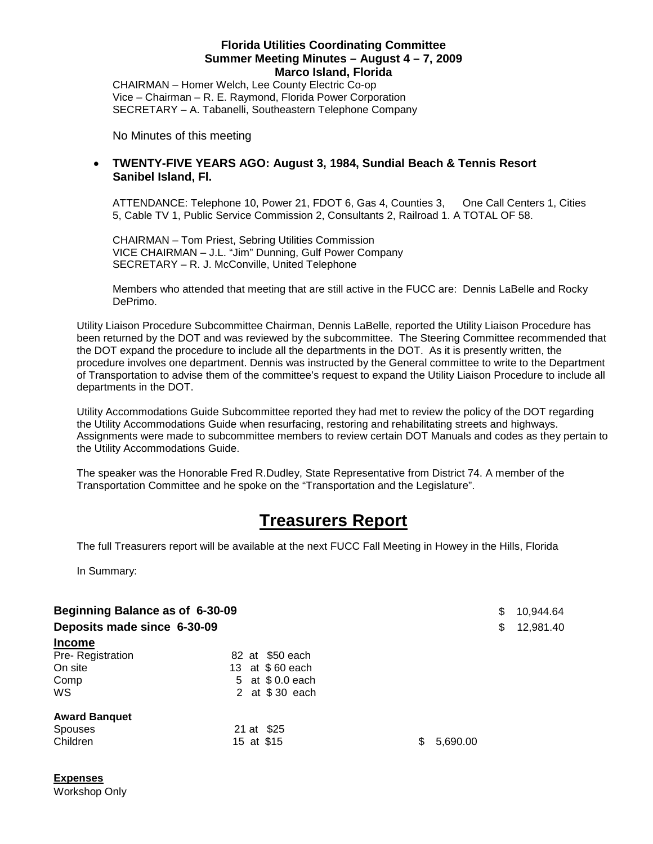CHAIRMAN – Homer Welch, Lee County Electric Co-op Vice – Chairman – R. E. Raymond, Florida Power Corporation SECRETARY – A. Tabanelli, Southeastern Telephone Company

No Minutes of this meeting

## • **TWENTY-FIVE YEARS AGO: August 3, 1984, Sundial Beach & Tennis Resort Sanibel Island, Fl.**

ATTENDANCE: Telephone 10, Power 21, FDOT 6, Gas 4, Counties 3, One Call Centers 1, Cities 5, Cable TV 1, Public Service Commission 2, Consultants 2, Railroad 1. A TOTAL OF 58.

CHAIRMAN – Tom Priest, Sebring Utilities Commission VICE CHAIRMAN – J.L. "Jim" Dunning, Gulf Power Company SECRETARY – R. J. McConville, United Telephone

Members who attended that meeting that are still active in the FUCC are: Dennis LaBelle and Rocky DePrimo.

Utility Liaison Procedure Subcommittee Chairman, Dennis LaBelle, reported the Utility Liaison Procedure has been returned by the DOT and was reviewed by the subcommittee. The Steering Committee recommended that the DOT expand the procedure to include all the departments in the DOT. As it is presently written, the procedure involves one department. Dennis was instructed by the General committee to write to the Department of Transportation to advise them of the committee's request to expand the Utility Liaison Procedure to include all departments in the DOT.

Utility Accommodations Guide Subcommittee reported they had met to review the policy of the DOT regarding the Utility Accommodations Guide when resurfacing, restoring and rehabilitating streets and highways. Assignments were made to subcommittee members to review certain DOT Manuals and codes as they pertain to the Utility Accommodations Guide.

The speaker was the Honorable Fred R.Dudley, State Representative from District 74. A member of the Transportation Committee and he spoke on the "Transportation and the Legislature".

# **Treasurers Report**

The full Treasurers report will be available at the next FUCC Fall Meeting in Howey in the Hills, Florida

In Summary:

| Beginning Balance as of 6-30-09<br>Deposits made since 6-30-09<br><b>Income</b> |                                                                         |               | \$<br>\$ | 10,944.64<br>12,981.40 |
|---------------------------------------------------------------------------------|-------------------------------------------------------------------------|---------------|----------|------------------------|
| Pre-Registration<br>On site<br>Comp<br><b>WS</b>                                | 82 at \$50 each<br>13 at \$60 each<br>5 at \$0.0 each<br>2 at \$30 each |               |          |                        |
| <b>Award Banquet</b><br><b>Spouses</b><br>Children                              | 21 at \$25<br>15 at \$15                                                | S<br>5,690.00 |          |                        |

# **Expenses**

Workshop Only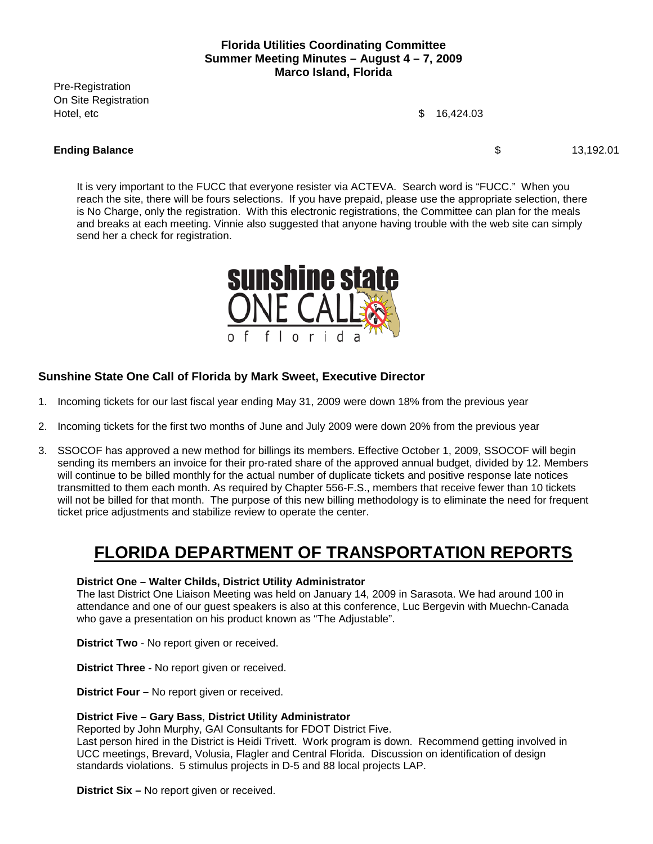Pre-Registration On Site Registration Hotel, etc  $$ 16,424.03$ 

#### **Ending Balance** 13,192.01

It is very important to the FUCC that everyone resister via ACTEVA. Search word is "FUCC." When you reach the site, there will be fours selections. If you have prepaid, please use the appropriate selection, there is No Charge, only the registration. With this electronic registrations, the Committee can plan for the meals and breaks at each meeting. Vinnie also suggested that anyone having trouble with the web site can simply send her a check for registration.



# **Sunshine State One Call of Florida by Mark Sweet, Executive Director**

- 1. Incoming tickets for our last fiscal year ending May 31, 2009 were down 18% from the previous year
- 2. Incoming tickets for the first two months of June and July 2009 were down 20% from the previous year
- 3. SSOCOF has approved a new method for billings its members. Effective October 1, 2009, SSOCOF will begin sending its members an invoice for their pro-rated share of the approved annual budget, divided by 12. Members will continue to be billed monthly for the actual number of duplicate tickets and positive response late notices transmitted to them each month. As required by Chapter 556-F.S., members that receive fewer than 10 tickets will not be billed for that month. The purpose of this new billing methodology is to eliminate the need for frequent ticket price adjustments and stabilize review to operate the center.

# **FLORIDA DEPARTMENT OF TRANSPORTATION REPORTS**

#### **District One – Walter Childs, District Utility Administrator**

The last District One Liaison Meeting was held on January 14, 2009 in Sarasota. We had around 100 in attendance and one of our guest speakers is also at this conference, Luc Bergevin with Muechn-Canada who gave a presentation on his product known as "The Adjustable".

**District Two** - No report given or received.

**District Three -** No report given or received.

**District Four –** No report given or received.

#### **District Five – Gary Bass**, **District Utility Administrator**

Reported by John Murphy, GAI Consultants for FDOT District Five.

Last person hired in the District is Heidi Trivett. Work program is down. Recommend getting involved in UCC meetings, Brevard, Volusia, Flagler and Central Florida. Discussion on identification of design standards violations. 5 stimulus projects in D-5 and 88 local projects LAP.

**District Six –** No report given or received.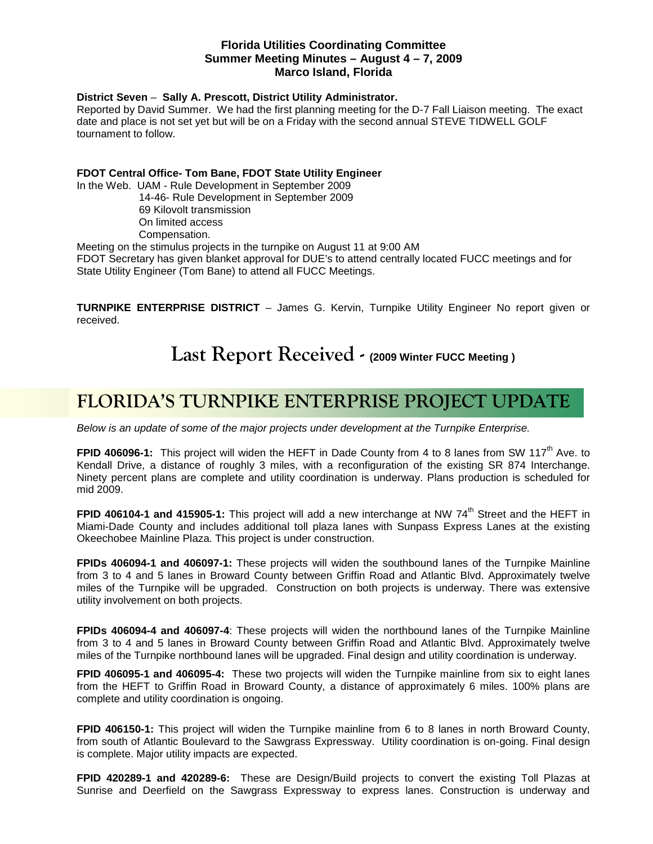#### **District Seven** – **Sally A. Prescott, District Utility Administrator.**

Reported by David Summer. We had the first planning meeting for the D-7 Fall Liaison meeting. The exact date and place is not set yet but will be on a Friday with the second annual STEVE TIDWELL GOLF tournament to follow.

#### **FDOT Central Office- Tom Bane, FDOT State Utility Engineer**

In the Web. UAM - Rule Development in September 2009

 14-46- Rule Development in September 2009 69 Kilovolt transmission On limited access

Compensation.

Meeting on the stimulus projects in the turnpike on August 11 at 9:00 AM

FDOT Secretary has given blanket approval for DUE's to attend centrally located FUCC meetings and for State Utility Engineer (Tom Bane) to attend all FUCC Meetings.

**TURNPIKE ENTERPRISE DISTRICT** – James G. Kervin, Turnpike Utility Engineer No report given or received.

# **Last Report Received - (2009 Winter FUCC Meeting )**

# **FLORIDA'S TURNPIKE ENTERPRISE PROJECT UPDATE**

*Below is an update of some of the major projects under development at the Turnpike Enterprise.*

**FPID 406096-1:** This project will widen the HEFT in Dade County from 4 to 8 lanes from SW 117<sup>th</sup> Ave. to Kendall Drive, a distance of roughly 3 miles, with a reconfiguration of the existing SR 874 Interchange. Ninety percent plans are complete and utility coordination is underway. Plans production is scheduled for mid 2009.

**FPID 406104-1 and 415905-1:** This project will add a new interchange at NW 74<sup>th</sup> Street and the HEFT in Miami-Dade County and includes additional toll plaza lanes with Sunpass Express Lanes at the existing Okeechobee Mainline Plaza. This project is under construction.

**FPIDs 406094-1 and 406097-1:** These projects will widen the southbound lanes of the Turnpike Mainline from 3 to 4 and 5 lanes in Broward County between Griffin Road and Atlantic Blvd. Approximately twelve miles of the Turnpike will be upgraded. Construction on both projects is underway. There was extensive utility involvement on both projects.

**FPIDs 406094-4 and 406097-4**: These projects will widen the northbound lanes of the Turnpike Mainline from 3 to 4 and 5 lanes in Broward County between Griffin Road and Atlantic Blvd. Approximately twelve miles of the Turnpike northbound lanes will be upgraded. Final design and utility coordination is underway.

**FPID 406095-1 and 406095-4:** These two projects will widen the Turnpike mainline from six to eight lanes from the HEFT to Griffin Road in Broward County, a distance of approximately 6 miles. 100% plans are complete and utility coordination is ongoing.

**FPID 406150-1:** This project will widen the Turnpike mainline from 6 to 8 lanes in north Broward County, from south of Atlantic Boulevard to the Sawgrass Expressway. Utility coordination is on-going. Final design is complete. Major utility impacts are expected.

**FPID 420289-1 and 420289-6:** These are Design/Build projects to convert the existing Toll Plazas at Sunrise and Deerfield on the Sawgrass Expressway to express lanes. Construction is underway and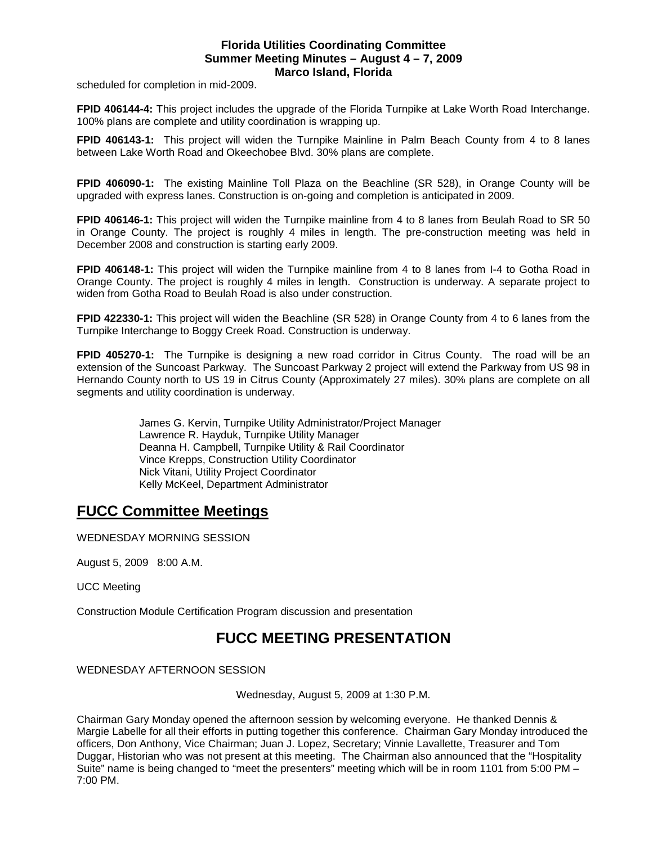scheduled for completion in mid-2009.

**FPID 406144-4:** This project includes the upgrade of the Florida Turnpike at Lake Worth Road Interchange. 100% plans are complete and utility coordination is wrapping up.

**FPID 406143-1:** This project will widen the Turnpike Mainline in Palm Beach County from 4 to 8 lanes between Lake Worth Road and Okeechobee Blvd. 30% plans are complete.

**FPID 406090-1:** The existing Mainline Toll Plaza on the Beachline (SR 528), in Orange County will be upgraded with express lanes. Construction is on-going and completion is anticipated in 2009.

**FPID 406146-1:** This project will widen the Turnpike mainline from 4 to 8 lanes from Beulah Road to SR 50 in Orange County. The project is roughly 4 miles in length. The pre-construction meeting was held in December 2008 and construction is starting early 2009.

**FPID 406148-1:** This project will widen the Turnpike mainline from 4 to 8 lanes from I-4 to Gotha Road in Orange County. The project is roughly 4 miles in length. Construction is underway. A separate project to widen from Gotha Road to Beulah Road is also under construction.

**FPID 422330-1:** This project will widen the Beachline (SR 528) in Orange County from 4 to 6 lanes from the Turnpike Interchange to Boggy Creek Road. Construction is underway.

**FPID 405270-1:** The Turnpike is designing a new road corridor in Citrus County. The road will be an extension of the Suncoast Parkway. The Suncoast Parkway 2 project will extend the Parkway from US 98 in Hernando County north to US 19 in Citrus County (Approximately 27 miles). 30% plans are complete on all segments and utility coordination is underway.

> James G. Kervin, Turnpike Utility Administrator/Project Manager Lawrence R. Hayduk, Turnpike Utility Manager Deanna H. Campbell, Turnpike Utility & Rail Coordinator Vince Krepps, Construction Utility Coordinator Nick Vitani, Utility Project Coordinator Kelly McKeel, Department Administrator

# **FUCC Committee Meetings**

WEDNESDAY MORNING SESSION

August 5, 2009 8:00 A.M.

UCC Meeting

Construction Module Certification Program discussion and presentation

# **FUCC MEETING PRESENTATION**

WEDNESDAY AFTERNOON SESSION

Wednesday, August 5, 2009 at 1:30 P.M.

Chairman Gary Monday opened the afternoon session by welcoming everyone. He thanked Dennis & Margie Labelle for all their efforts in putting together this conference. Chairman Gary Monday introduced the officers, Don Anthony, Vice Chairman; Juan J. Lopez, Secretary; Vinnie Lavallette, Treasurer and Tom Duggar, Historian who was not present at this meeting. The Chairman also announced that the "Hospitality Suite" name is being changed to "meet the presenters" meeting which will be in room 1101 from 5:00 PM – 7:00 PM.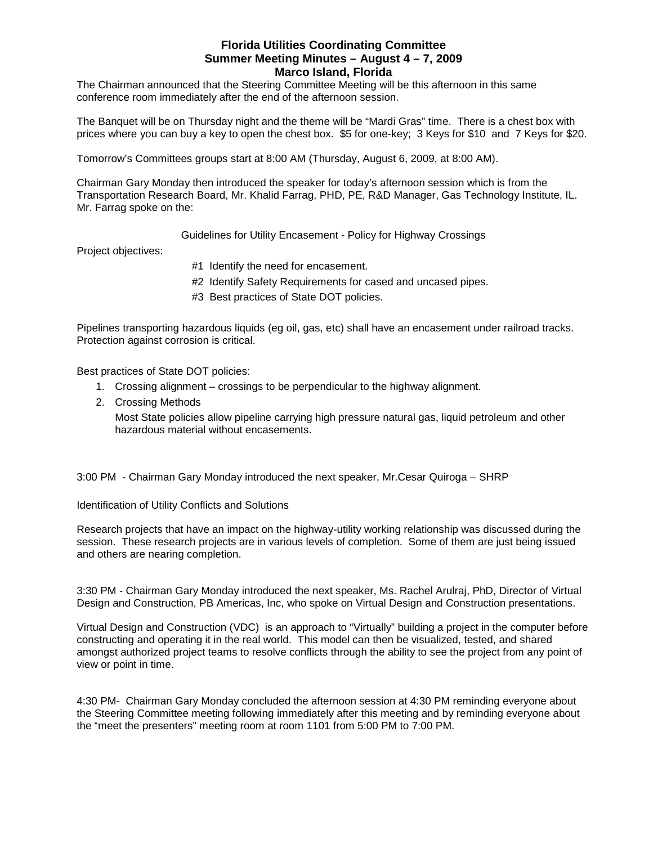The Chairman announced that the Steering Committee Meeting will be this afternoon in this same conference room immediately after the end of the afternoon session.

The Banquet will be on Thursday night and the theme will be "Mardi Gras" time. There is a chest box with prices where you can buy a key to open the chest box. \$5 for one-key; 3 Keys for \$10 and 7 Keys for \$20.

Tomorrow's Committees groups start at 8:00 AM (Thursday, August 6, 2009, at 8:00 AM).

Chairman Gary Monday then introduced the speaker for today's afternoon session which is from the Transportation Research Board, Mr. Khalid Farrag, PHD, PE, R&D Manager, Gas Technology Institute, IL. Mr. Farrag spoke on the:

Guidelines for Utility Encasement - Policy for Highway Crossings

Project objectives:

- #1 Identify the need for encasement.
- #2 Identify Safety Requirements for cased and uncased pipes.
- #3 Best practices of State DOT policies.

Pipelines transporting hazardous liquids (eg oil, gas, etc) shall have an encasement under railroad tracks. Protection against corrosion is critical.

Best practices of State DOT policies:

- 1. Crossing alignment crossings to be perpendicular to the highway alignment.
- 2. Crossing Methods

Most State policies allow pipeline carrying high pressure natural gas, liquid petroleum and other hazardous material without encasements.

3:00 PM - Chairman Gary Monday introduced the next speaker, Mr.Cesar Quiroga – SHRP

Identification of Utility Conflicts and Solutions

Research projects that have an impact on the highway-utility working relationship was discussed during the session. These research projects are in various levels of completion. Some of them are just being issued and others are nearing completion.

3:30 PM - Chairman Gary Monday introduced the next speaker, Ms. Rachel Arulraj, PhD, Director of Virtual Design and Construction, PB Americas, Inc, who spoke on Virtual Design and Construction presentations.

Virtual Design and Construction (VDC) is an approach to "Virtually" building a project in the computer before constructing and operating it in the real world. This model can then be visualized, tested, and shared amongst authorized project teams to resolve conflicts through the ability to see the project from any point of view or point in time.

4:30 PM- Chairman Gary Monday concluded the afternoon session at 4:30 PM reminding everyone about the Steering Committee meeting following immediately after this meeting and by reminding everyone about the "meet the presenters" meeting room at room 1101 from 5:00 PM to 7:00 PM.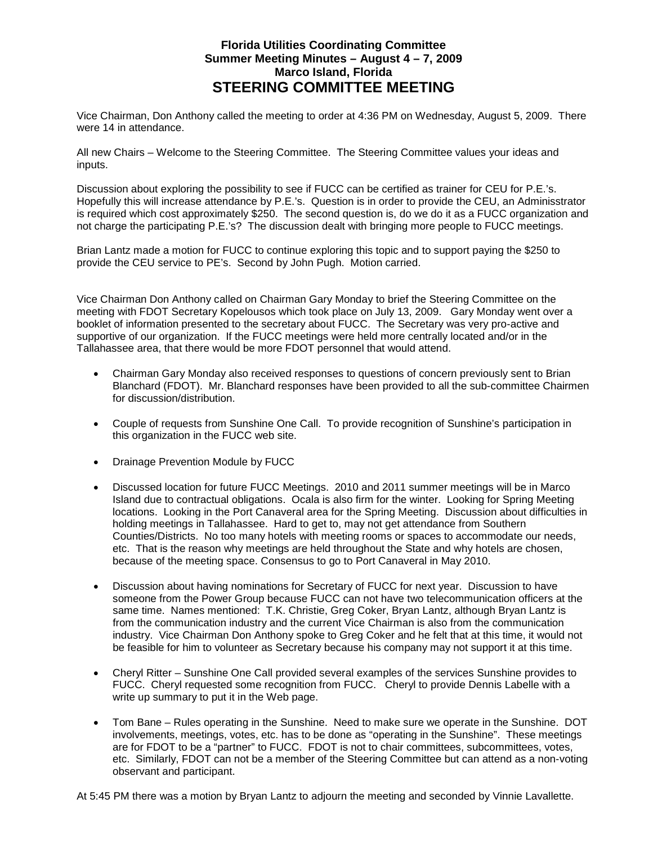# **Florida Utilities Coordinating Committee Summer Meeting Minutes – August 4 – 7, 2009 Marco Island, Florida STEERING COMMITTEE MEETING**

Vice Chairman, Don Anthony called the meeting to order at 4:36 PM on Wednesday, August 5, 2009. There were 14 in attendance.

All new Chairs – Welcome to the Steering Committee. The Steering Committee values your ideas and inputs.

Discussion about exploring the possibility to see if FUCC can be certified as trainer for CEU for P.E.'s. Hopefully this will increase attendance by P.E.'s. Question is in order to provide the CEU, an Adminisstrator is required which cost approximately \$250. The second question is, do we do it as a FUCC organization and not charge the participating P.E.'s? The discussion dealt with bringing more people to FUCC meetings.

Brian Lantz made a motion for FUCC to continue exploring this topic and to support paying the \$250 to provide the CEU service to PE's. Second by John Pugh. Motion carried.

Vice Chairman Don Anthony called on Chairman Gary Monday to brief the Steering Committee on the meeting with FDOT Secretary Kopelousos which took place on July 13, 2009. Gary Monday went over a booklet of information presented to the secretary about FUCC. The Secretary was very pro-active and supportive of our organization. If the FUCC meetings were held more centrally located and/or in the Tallahassee area, that there would be more FDOT personnel that would attend.

- Chairman Gary Monday also received responses to questions of concern previously sent to Brian Blanchard (FDOT). Mr. Blanchard responses have been provided to all the sub-committee Chairmen for discussion/distribution.
- Couple of requests from Sunshine One Call. To provide recognition of Sunshine's participation in this organization in the FUCC web site.
- Drainage Prevention Module by FUCC
- Discussed location for future FUCC Meetings. 2010 and 2011 summer meetings will be in Marco Island due to contractual obligations. Ocala is also firm for the winter. Looking for Spring Meeting locations. Looking in the Port Canaveral area for the Spring Meeting. Discussion about difficulties in holding meetings in Tallahassee. Hard to get to, may not get attendance from Southern Counties/Districts. No too many hotels with meeting rooms or spaces to accommodate our needs, etc. That is the reason why meetings are held throughout the State and why hotels are chosen, because of the meeting space. Consensus to go to Port Canaveral in May 2010.
- Discussion about having nominations for Secretary of FUCC for next year. Discussion to have someone from the Power Group because FUCC can not have two telecommunication officers at the same time. Names mentioned: T.K. Christie, Greg Coker, Bryan Lantz, although Bryan Lantz is from the communication industry and the current Vice Chairman is also from the communication industry. Vice Chairman Don Anthony spoke to Greg Coker and he felt that at this time, it would not be feasible for him to volunteer as Secretary because his company may not support it at this time.
- Cheryl Ritter Sunshine One Call provided several examples of the services Sunshine provides to FUCC. Cheryl requested some recognition from FUCC. Cheryl to provide Dennis Labelle with a write up summary to put it in the Web page.
- Tom Bane Rules operating in the Sunshine. Need to make sure we operate in the Sunshine. DOT involvements, meetings, votes, etc. has to be done as "operating in the Sunshine". These meetings are for FDOT to be a "partner" to FUCC. FDOT is not to chair committees, subcommittees, votes, etc. Similarly, FDOT can not be a member of the Steering Committee but can attend as a non-voting observant and participant.

At 5:45 PM there was a motion by Bryan Lantz to adjourn the meeting and seconded by Vinnie Lavallette.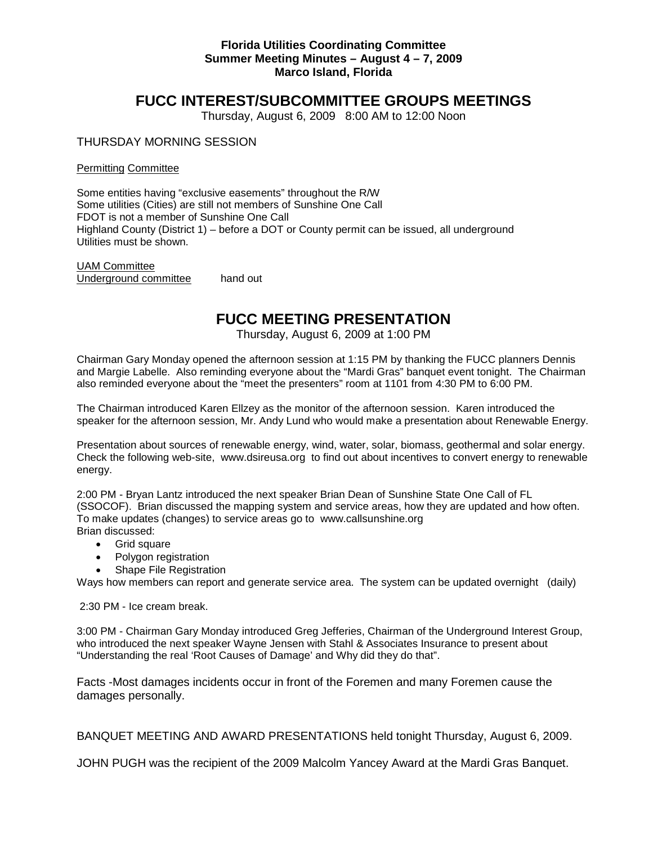# **FUCC INTEREST/SUBCOMMITTEE GROUPS MEETINGS**

Thursday, August 6, 2009 8:00 AM to 12:00 Noon

#### THURSDAY MORNING SESSION

Permitting Committee

Some entities having "exclusive easements" throughout the R/W Some utilities (Cities) are still not members of Sunshine One Call FDOT is not a member of Sunshine One Call Highland County (District 1) – before a DOT or County permit can be issued, all underground Utilities must be shown.

UAM Committee Underground committee hand out

# **FUCC MEETING PRESENTATION**

Thursday, August 6, 2009 at 1:00 PM

Chairman Gary Monday opened the afternoon session at 1:15 PM by thanking the FUCC planners Dennis and Margie Labelle. Also reminding everyone about the "Mardi Gras" banquet event tonight. The Chairman also reminded everyone about the "meet the presenters" room at 1101 from 4:30 PM to 6:00 PM.

The Chairman introduced Karen Ellzey as the monitor of the afternoon session. Karen introduced the speaker for the afternoon session, Mr. Andy Lund who would make a presentation about Renewable Energy.

Presentation about sources of renewable energy, wind, water, solar, biomass, geothermal and solar energy. Check the following web-site, [www.dsireusa.org](http://www.dsireusa.org/) to find out about incentives to convert energy to renewable energy.

2:00 PM - Bryan Lantz introduced the next speaker Brian Dean of Sunshine State One Call of FL (SSOCOF). Brian discussed the mapping system and service areas, how they are updated and how often. To make updates (changes) to service areas go to www.callsunshine.org Brian discussed:

- Grid square
- Polygon registration
- Shape File Registration

Ways how members can report and generate service area. The system can be updated overnight (daily)

2:30 PM - Ice cream break.

3:00 PM - Chairman Gary Monday introduced Greg Jefferies, Chairman of the Underground Interest Group, who introduced the next speaker Wayne Jensen with Stahl & Associates Insurance to present about "Understanding the real 'Root Causes of Damage' and Why did they do that".

Facts -Most damages incidents occur in front of the Foremen and many Foremen cause the damages personally.

BANQUET MEETING AND AWARD PRESENTATIONS held tonight Thursday, August 6, 2009.

JOHN PUGH was the recipient of the 2009 Malcolm Yancey Award at the Mardi Gras Banquet.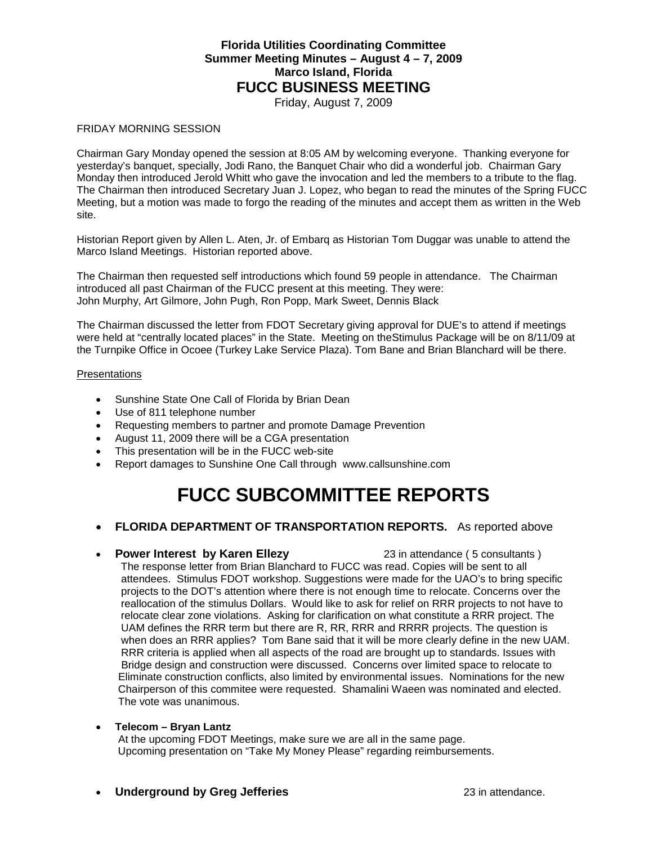Friday, August 7, 2009

#### FRIDAY MORNING SESSION

Chairman Gary Monday opened the session at 8:05 AM by welcoming everyone. Thanking everyone for yesterday's banquet, specially, Jodi Rano, the Banquet Chair who did a wonderful job. Chairman Gary Monday then introduced Jerold Whitt who gave the invocation and led the members to a tribute to the flag. The Chairman then introduced Secretary Juan J. Lopez, who began to read the minutes of the Spring FUCC Meeting, but a motion was made to forgo the reading of the minutes and accept them as written in the Web site.

Historian Report given by Allen L. Aten, Jr. of Embarq as Historian Tom Duggar was unable to attend the Marco Island Meetings. Historian reported above.

The Chairman then requested self introductions which found 59 people in attendance. The Chairman introduced all past Chairman of the FUCC present at this meeting. They were: John Murphy, Art Gilmore, John Pugh, Ron Popp, Mark Sweet, Dennis Black

The Chairman discussed the letter from FDOT Secretary giving approval for DUE's to attend if meetings were held at "centrally located places" in the State. Meeting on theStimulus Package will be on 8/11/09 at the Turnpike Office in Ocoee (Turkey Lake Service Plaza). Tom Bane and Brian Blanchard will be there.

#### **Presentations**

- Sunshine State One Call of Florida by Brian Dean
- Use of 811 telephone number
- Requesting members to partner and promote Damage Prevention
- August 11, 2009 there will be a CGA presentation
- This presentation will be in the FUCC web-site
- Report damages to Sunshine One Call through [www.callsunshine.com](http://www.callsunshine.com/)

# **FUCC SUBCOMMITTEE REPORTS**

#### • **FLORIDA DEPARTMENT OF TRANSPORTATION REPORTS.** As reported above

#### • **Power Interest by Karen Ellezy** 23 in attendance ( 5 consultants )

 The response letter from Brian Blanchard to FUCC was read. Copies will be sent to all attendees. Stimulus FDOT workshop. Suggestions were made for the UAO's to bring specific projects to the DOT's attention where there is not enough time to relocate. Concerns over the reallocation of the stimulus Dollars. Would like to ask for relief on RRR projects to not have to relocate clear zone violations. Asking for clarification on what constitute a RRR project. The UAM defines the RRR term but there are R, RR, RRR and RRRR projects. The question is when does an RRR applies? Tom Bane said that it will be more clearly define in the new UAM. RRR criteria is applied when all aspects of the road are brought up to standards. Issues with Bridge design and construction were discussed. Concerns over limited space to relocate to Eliminate construction conflicts, also limited by environmental issues. Nominations for the new Chairperson of this commitee were requested. Shamalini Waeen was nominated and elected. The vote was unanimous.

#### • **Telecom – Bryan Lantz**

 At the upcoming FDOT Meetings, make sure we are all in the same page. Upcoming presentation on "Take My Money Please" regarding reimbursements.

#### **Underground by Greg Jefferies** 23 in attendance.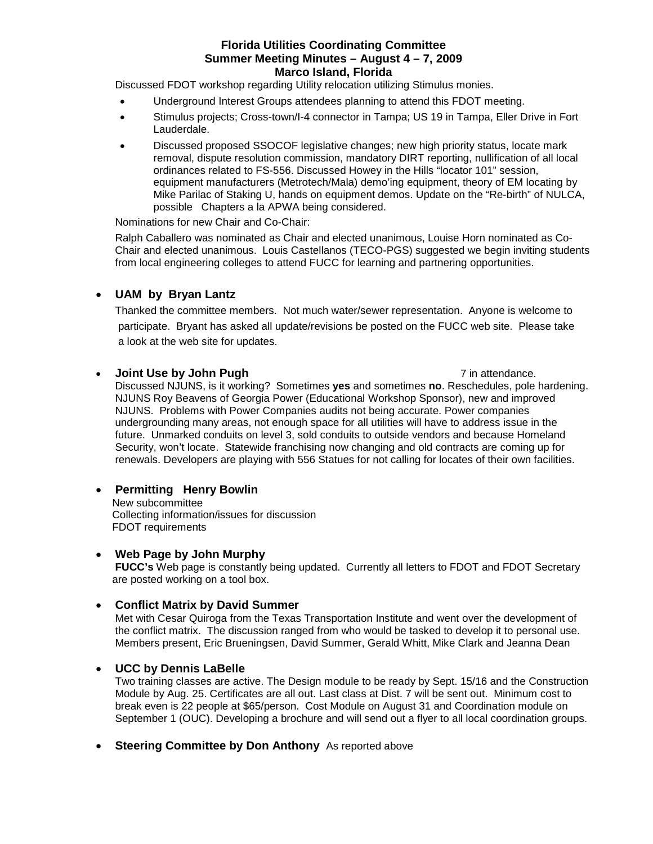Discussed FDOT workshop regarding Utility relocation utilizing Stimulus monies.

- Underground Interest Groups attendees planning to attend this FDOT meeting.
- Stimulus projects; Cross-town/I-4 connector in Tampa; US 19 in Tampa, Eller Drive in Fort Lauderdale.
- Discussed proposed SSOCOF legislative changes; new high priority status, locate mark removal, dispute resolution commission, mandatory DIRT reporting, nullification of all local ordinances related to FS-556. Discussed Howey in the Hills "locator 101" session, equipment manufacturers (Metrotech/Mala) demo'ing equipment, theory of EM locating by Mike Parilac of Staking U, hands on equipment demos. Update on the "Re-birth" of NULCA, possible Chapters a la APWA being considered.

Nominations for new Chair and Co-Chair:

Ralph Caballero was nominated as Chair and elected unanimous, Louise Horn nominated as Co-Chair and elected unanimous. Louis Castellanos (TECO-PGS) suggested we begin inviting students from local engineering colleges to attend FUCC for learning and partnering opportunities.

# • **UAM by Bryan Lantz**

 Thanked the committee members. Not much water/sewer representation. Anyone is welcome to participate. Bryant has asked all update/revisions be posted on the FUCC web site. Please take a look at the web site for updates.

#### **Joint Use by John Pugh** *Pugh Pugh* **7 in attendance.**

Discussed NJUNS, is it working? Sometimes **yes** and sometimes **no**. Reschedules, pole hardening. NJUNS Roy Beavens of Georgia Power (Educational Workshop Sponsor), new and improved NJUNS. Problems with Power Companies audits not being accurate. Power companies undergrounding many areas, not enough space for all utilities will have to address issue in the future. Unmarked conduits on level 3, sold conduits to outside vendors and because Homeland Security, won't locate. Statewide franchising now changing and old contracts are coming up for renewals. Developers are playing with 556 Statues for not calling for locates of their own facilities.

# • **Permitting Henry Bowlin**

 New subcommittee Collecting information/issues for discussion FDOT requirements

#### • **Web Page by John Murphy**

**FUCC's** Web page is constantly being updated. Currently all letters to FDOT and FDOT Secretary are posted working on a tool box.

#### • **Conflict Matrix by David Summer**

Met with Cesar Quiroga from the Texas Transportation Institute and went over the development of the conflict matrix. The discussion ranged from who would be tasked to develop it to personal use. Members present, Eric Brueningsen, David Summer, Gerald Whitt, Mike Clark and Jeanna Dean

#### • **UCC by Dennis LaBelle**

Two training classes are active. The Design module to be ready by Sept. 15/16 and the Construction Module by Aug. 25. Certificates are all out. Last class at Dist. 7 will be sent out. Minimum cost to break even is 22 people at \$65/person. Cost Module on August 31 and Coordination module on September 1 (OUC). Developing a brochure and will send out a flyer to all local coordination groups.

**Steering Committee by Don Anthony** As reported above